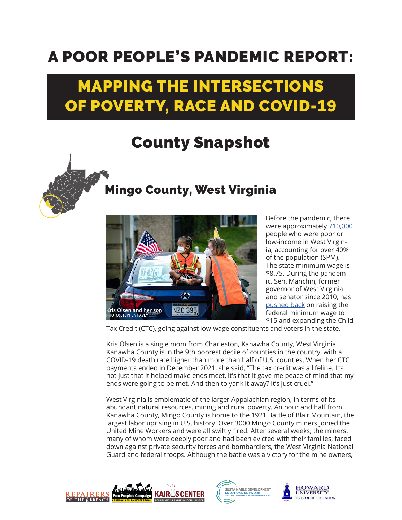## A POOR PEOPLE'S PANDEMIC REPORT:

## MAPPING THE INTERSECTIONS OF POVERTY, RACE AND COVID-19

## County Snapshot



## Mingo County, West Virginia



Before the pandemic, there were approximately [710,000](https://www.poorpeoplescampaign.org/wp-content/uploads/2020/03/PPC-state-fact-sheet-West-Virginia.pdf) people who were poor or low-income in West Virginia, accounting for over 40% of the population (SPM). The state minimum wage is \$8.75. During the pandemic, Sen. Manchin, former governor of West Virginia and senator since 2010, has [pushed back](https://www.theguardian.com/us-news/2021/feb/22/us-15-dollar-minimum-wage-joe-manchin-west-virginia) on raising the federal minimum wage to \$15 and expanding the Child

Tax Credit (CTC), going against low-wage constituents and voters in the state.

Kris Olsen is a single mom from Charleston, Kanawha County, West Virginia. Kanawha County is in the 9th poorest decile of counties in the country, with a COVID-19 death rate higher than more than half of U.S. counties. When her CTC payments ended in December 2021, she said, "The tax credit was a lifeline. It's not just that it helped make ends meet, it's that it gave me peace of mind that my ends were going to be met. And then to yank it away? It's just cruel."

West Virginia is emblematic of the larger Appalachian region, in terms of its abundant natural resources, mining and rural poverty. An hour and half from Kanawha County, Mingo County is home to the 1921 Battle of Blair Mountain, the largest labor uprising in U.S. history. Over 3000 Mingo County miners joined the United Mine Workers and were all swiftly fired. After several weeks, the miners, many of whom were deeply poor and had been evicted with their families, faced down against private security forces and bombardiers, the West Virginia National Guard and federal troops. Although the battle was a victory for the mine owners,